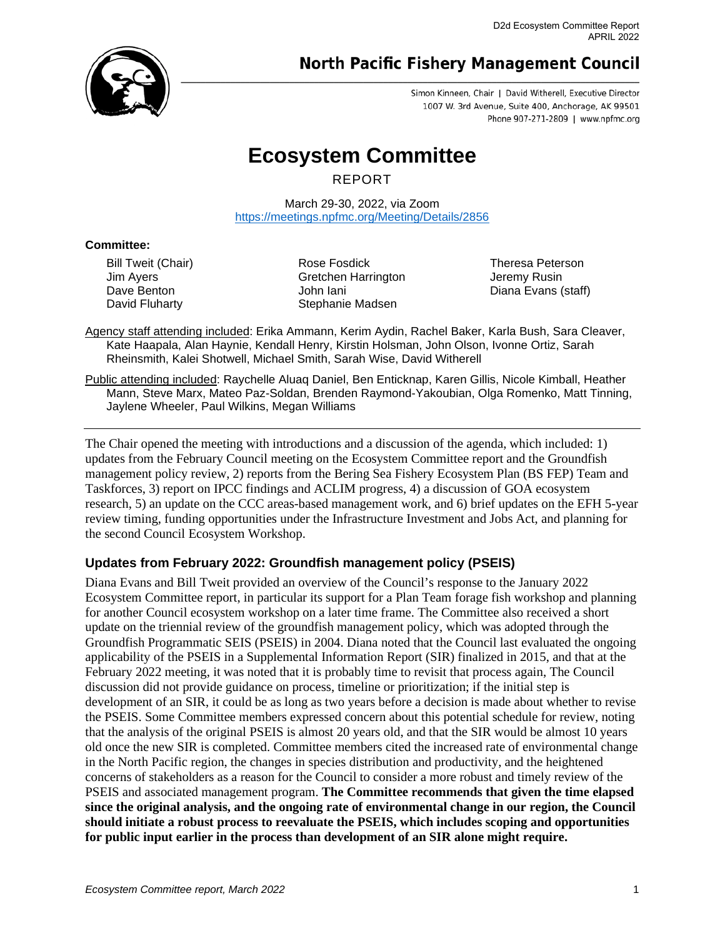

# **North Pacific Fishery Management Council**

Simon Kinneen, Chair | David Witherell, Executive Director 1007 W. 3rd Avenue, Suite 400, Anchorage, AK 99501 Phone 907-271-2809 | www.npfmc.org

# **Ecosystem Committee**

REPORT

March 29-30, 2022, via Zoom <https://meetings.npfmc.org/Meeting/Details/2856>

## **Committee:**

Bill Tweit (Chair) Jim Ayers Dave Benton David Fluharty

Rose Fosdick Gretchen Harrington John Iani Stephanie Madsen

Theresa Peterson Jeremy Rusin Diana Evans (staff)

Agency staff attending included: Erika Ammann, Kerim Aydin, Rachel Baker, Karla Bush, Sara Cleaver, Kate Haapala, Alan Haynie, Kendall Henry, Kirstin Holsman, John Olson, Ivonne Ortiz, Sarah Rheinsmith, Kalei Shotwell, Michael Smith, Sarah Wise, David Witherell

Public attending included: Raychelle Aluaq Daniel, Ben Enticknap, Karen Gillis, Nicole Kimball, Heather Mann, Steve Marx, Mateo Paz-Soldan, Brenden Raymond-Yakoubian, Olga Romenko, Matt Tinning, Jaylene Wheeler, Paul Wilkins, Megan Williams

The Chair opened the meeting with introductions and a discussion of the agenda, which included: 1) updates from the February Council meeting on the Ecosystem Committee report and the Groundfish management policy review, 2) reports from the Bering Sea Fishery Ecosystem Plan (BS FEP) Team and Taskforces, 3) report on IPCC findings and ACLIM progress, 4) a discussion of GOA ecosystem research, 5) an update on the CCC areas-based management work, and 6) brief updates on the EFH 5-year review timing, funding opportunities under the Infrastructure Investment and Jobs Act, and planning for the second Council Ecosystem Workshop.

# **Updates from February 2022: Groundfish management policy (PSEIS)**

Diana Evans and Bill Tweit provided an overview of the Council's response to the January 2022 Ecosystem Committee report, in particular its support for a Plan Team forage fish workshop and planning for another Council ecosystem workshop on a later time frame. The Committee also received a short update on the triennial review of the groundfish management policy, which was adopted through the Groundfish Programmatic SEIS (PSEIS) in 2004. Diana noted that the Council last evaluated the ongoing applicability of the PSEIS in a Supplemental Information Report (SIR) finalized in 2015, and that at the February 2022 meeting, it was noted that it is probably time to revisit that process again, The Council discussion did not provide guidance on process, timeline or prioritization; if the initial step is development of an SIR, it could be as long as two years before a decision is made about whether to revise the PSEIS. Some Committee members expressed concern about this potential schedule for review, noting that the analysis of the original PSEIS is almost 20 years old, and that the SIR would be almost 10 years old once the new SIR is completed. Committee members cited the increased rate of environmental change in the North Pacific region, the changes in species distribution and productivity, and the heightened concerns of stakeholders as a reason for the Council to consider a more robust and timely review of the PSEIS and associated management program. **The Committee recommends that given the time elapsed since the original analysis, and the ongoing rate of environmental change in our region, the Council should initiate a robust process to reevaluate the PSEIS, which includes scoping and opportunities for public input earlier in the process than development of an SIR alone might require.**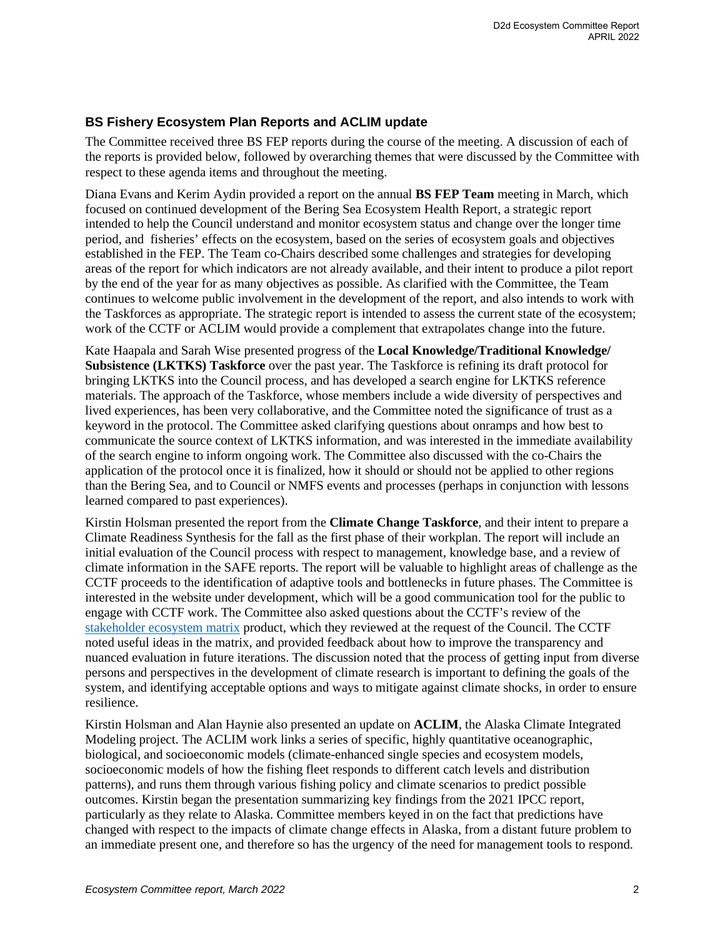# **BS Fishery Ecosystem Plan Reports and ACLIM update**

The Committee received three BS FEP reports during the course of the meeting. A discussion of each of the reports is provided below, followed by overarching themes that were discussed by the Committee with respect to these agenda items and throughout the meeting.

Diana Evans and Kerim Aydin provided a report on the annual **BS FEP Team** meeting in March, which focused on continued development of the Bering Sea Ecosystem Health Report, a strategic report intended to help the Council understand and monitor ecosystem status and change over the longer time period, and fisheries' effects on the ecosystem, based on the series of ecosystem goals and objectives established in the FEP. The Team co-Chairs described some challenges and strategies for developing areas of the report for which indicators are not already available, and their intent to produce a pilot report by the end of the year for as many objectives as possible. As clarified with the Committee, the Team continues to welcome public involvement in the development of the report, and also intends to work with the Taskforces as appropriate. The strategic report is intended to assess the current state of the ecosystem; work of the CCTF or ACLIM would provide a complement that extrapolates change into the future.

Kate Haapala and Sarah Wise presented progress of the **Local Knowledge/Traditional Knowledge/ Subsistence (LKTKS) Taskforce** over the past year. The Taskforce is refining its draft protocol for bringing LKTKS into the Council process, and has developed a search engine for LKTKS reference materials. The approach of the Taskforce, whose members include a wide diversity of perspectives and lived experiences, has been very collaborative, and the Committee noted the significance of trust as a keyword in the protocol. The Committee asked clarifying questions about onramps and how best to communicate the source context of LKTKS information, and was interested in the immediate availability of the search engine to inform ongoing work. The Committee also discussed with the co-Chairs the application of the protocol once it is finalized, how it should or should not be applied to other regions than the Bering Sea, and to Council or NMFS events and processes (perhaps in conjunction with lessons learned compared to past experiences).

Kirstin Holsman presented the report from the **Climate Change Taskforce**, and their intent to prepare a Climate Readiness Synthesis for the fall as the first phase of their workplan. The report will include an initial evaluation of the Council process with respect to management, knowledge base, and a review of climate information in the SAFE reports. The report will be valuable to highlight areas of challenge as the CCTF proceeds to the identification of adaptive tools and bottlenecks in future phases. The Committee is interested in the website under development, which will be a good communication tool for the public to engage with CCTF work. The Committee also asked questions about the CCTF's review of the [stakeholder ecosystem matrix](https://meetings.npfmc.org/CommentReview/DownloadFile?p=983001f4-9d4e-4eef-aab2-3d17755589d4.pdf&fileName=Matrix_CCTF_March152022_share.pdf) product, which they reviewed at the request of the Council. The CCTF noted useful ideas in the matrix, and provided feedback about how to improve the transparency and nuanced evaluation in future iterations. The discussion noted that the process of getting input from diverse persons and perspectives in the development of climate research is important to defining the goals of the system, and identifying acceptable options and ways to mitigate against climate shocks, in order to ensure resilience.

Kirstin Holsman and Alan Haynie also presented an update on **ACLIM**, the Alaska Climate Integrated Modeling project. The ACLIM work links a series of specific, highly quantitative oceanographic, biological, and socioeconomic models (climate-enhanced single species and ecosystem models, socioeconomic models of how the fishing fleet responds to different catch levels and distribution patterns), and runs them through various fishing policy and climate scenarios to predict possible outcomes. Kirstin began the presentation summarizing key findings from the 2021 IPCC report, particularly as they relate to Alaska. Committee members keyed in on the fact that predictions have changed with respect to the impacts of climate change effects in Alaska, from a distant future problem to an immediate present one, and therefore so has the urgency of the need for management tools to respond.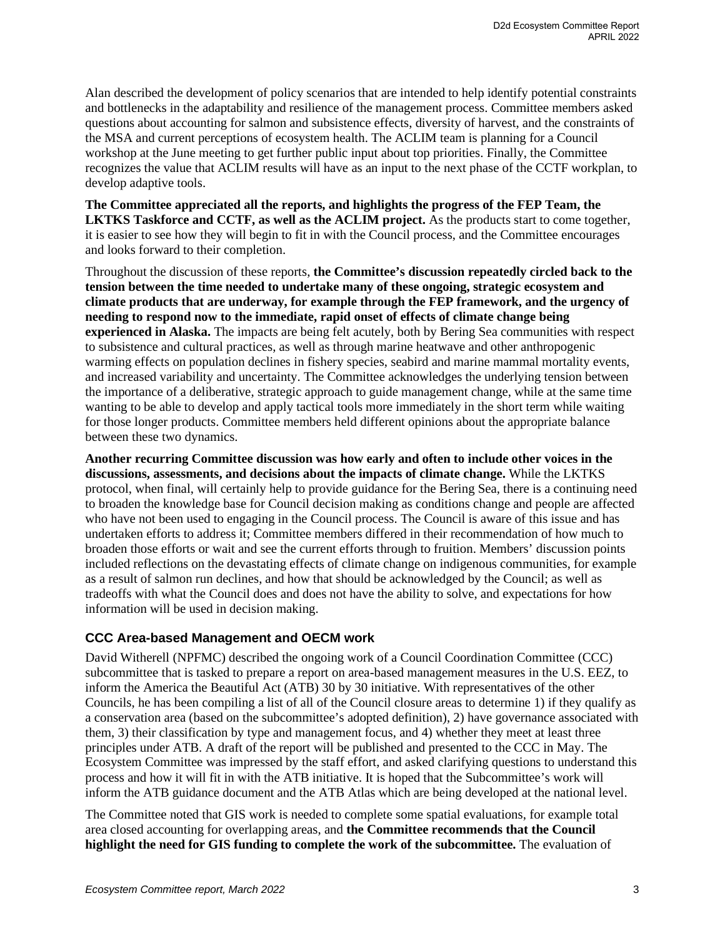Alan described the development of policy scenarios that are intended to help identify potential constraints and bottlenecks in the adaptability and resilience of the management process. Committee members asked questions about accounting for salmon and subsistence effects, diversity of harvest, and the constraints of the MSA and current perceptions of ecosystem health. The ACLIM team is planning for a Council workshop at the June meeting to get further public input about top priorities. Finally, the Committee recognizes the value that ACLIM results will have as an input to the next phase of the CCTF workplan, to develop adaptive tools.

**The Committee appreciated all the reports, and highlights the progress of the FEP Team, the LKTKS Taskforce and CCTF, as well as the ACLIM project.** As the products start to come together, it is easier to see how they will begin to fit in with the Council process, and the Committee encourages and looks forward to their completion.

Throughout the discussion of these reports, **the Committee's discussion repeatedly circled back to the tension between the time needed to undertake many of these ongoing, strategic ecosystem and climate products that are underway, for example through the FEP framework, and the urgency of needing to respond now to the immediate, rapid onset of effects of climate change being experienced in Alaska.** The impacts are being felt acutely, both by Bering Sea communities with respect to subsistence and cultural practices, as well as through marine heatwave and other anthropogenic warming effects on population declines in fishery species, seabird and marine mammal mortality events, and increased variability and uncertainty. The Committee acknowledges the underlying tension between the importance of a deliberative, strategic approach to guide management change, while at the same time wanting to be able to develop and apply tactical tools more immediately in the short term while waiting for those longer products. Committee members held different opinions about the appropriate balance between these two dynamics.

**Another recurring Committee discussion was how early and often to include other voices in the discussions, assessments, and decisions about the impacts of climate change.** While the LKTKS protocol, when final, will certainly help to provide guidance for the Bering Sea, there is a continuing need to broaden the knowledge base for Council decision making as conditions change and people are affected who have not been used to engaging in the Council process. The Council is aware of this issue and has undertaken efforts to address it; Committee members differed in their recommendation of how much to broaden those efforts or wait and see the current efforts through to fruition. Members' discussion points included reflections on the devastating effects of climate change on indigenous communities, for example as a result of salmon run declines, and how that should be acknowledged by the Council; as well as tradeoffs with what the Council does and does not have the ability to solve, and expectations for how information will be used in decision making.

# **CCC Area-based Management and OECM work**

David Witherell (NPFMC) described the ongoing work of a Council Coordination Committee (CCC) subcommittee that is tasked to prepare a report on area-based management measures in the U.S. EEZ, to inform the America the Beautiful Act (ATB) 30 by 30 initiative. With representatives of the other Councils, he has been compiling a list of all of the Council closure areas to determine 1) if they qualify as a conservation area (based on the subcommittee's adopted definition), 2) have governance associated with them, 3) their classification by type and management focus, and 4) whether they meet at least three principles under ATB. A draft of the report will be published and presented to the CCC in May. The Ecosystem Committee was impressed by the staff effort, and asked clarifying questions to understand this process and how it will fit in with the ATB initiative. It is hoped that the Subcommittee's work will inform the ATB guidance document and the ATB Atlas which are being developed at the national level.

The Committee noted that GIS work is needed to complete some spatial evaluations, for example total area closed accounting for overlapping areas, and **the Committee recommends that the Council highlight the need for GIS funding to complete the work of the subcommittee.** The evaluation of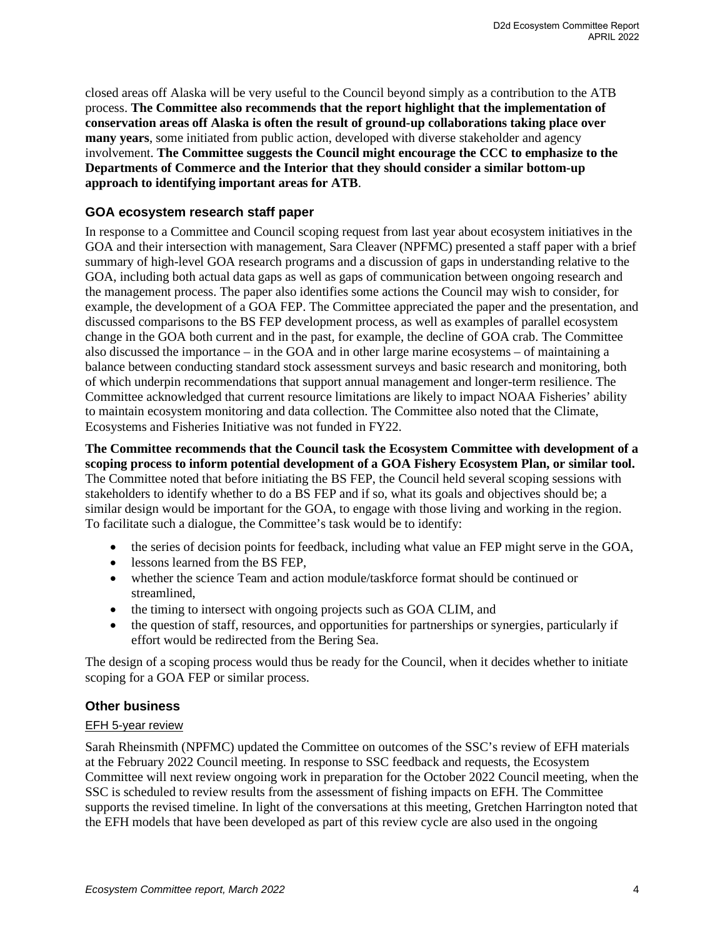closed areas off Alaska will be very useful to the Council beyond simply as a contribution to the ATB process. **The Committee also recommends that the report highlight that the implementation of conservation areas off Alaska is often the result of ground-up collaborations taking place over many years**, some initiated from public action, developed with diverse stakeholder and agency involvement. **The Committee suggests the Council might encourage the CCC to emphasize to the Departments of Commerce and the Interior that they should consider a similar bottom-up approach to identifying important areas for ATB**.

# **GOA ecosystem research staff paper**

In response to a Committee and Council scoping request from last year about ecosystem initiatives in the GOA and their intersection with management, Sara Cleaver (NPFMC) presented a staff paper with a brief summary of high-level GOA research programs and a discussion of gaps in understanding relative to the GOA, including both actual data gaps as well as gaps of communication between ongoing research and the management process. The paper also identifies some actions the Council may wish to consider, for example, the development of a GOA FEP. The Committee appreciated the paper and the presentation, and discussed comparisons to the BS FEP development process, as well as examples of parallel ecosystem change in the GOA both current and in the past, for example, the decline of GOA crab. The Committee also discussed the importance – in the GOA and in other large marine ecosystems – of maintaining a balance between conducting standard stock assessment surveys and basic research and monitoring, both of which underpin recommendations that support annual management and longer-term resilience. The Committee acknowledged that current resource limitations are likely to impact NOAA Fisheries' ability to maintain ecosystem monitoring and data collection. The Committee also noted that the Climate, Ecosystems and Fisheries Initiative was not funded in FY22.

**The Committee recommends that the Council task the Ecosystem Committee with development of a scoping process to inform potential development of a GOA Fishery Ecosystem Plan, or similar tool.** The Committee noted that before initiating the BS FEP, the Council held several scoping sessions with stakeholders to identify whether to do a BS FEP and if so, what its goals and objectives should be; a similar design would be important for the GOA, to engage with those living and working in the region. To facilitate such a dialogue, the Committee's task would be to identify:

- the series of decision points for feedback, including what value an FEP might serve in the GOA,
- lessons learned from the BS FEP.
- whether the science Team and action module/taskforce format should be continued or streamlined,
- the timing to intersect with ongoing projects such as GOA CLIM, and
- the question of staff, resources, and opportunities for partnerships or synergies, particularly if effort would be redirected from the Bering Sea.

The design of a scoping process would thus be ready for the Council, when it decides whether to initiate scoping for a GOA FEP or similar process.

## **Other business**

## EFH 5-year review

Sarah Rheinsmith (NPFMC) updated the Committee on outcomes of the SSC's review of EFH materials at the February 2022 Council meeting. In response to SSC feedback and requests, the Ecosystem Committee will next review ongoing work in preparation for the October 2022 Council meeting, when the SSC is scheduled to review results from the assessment of fishing impacts on EFH. The Committee supports the revised timeline. In light of the conversations at this meeting, Gretchen Harrington noted that the EFH models that have been developed as part of this review cycle are also used in the ongoing